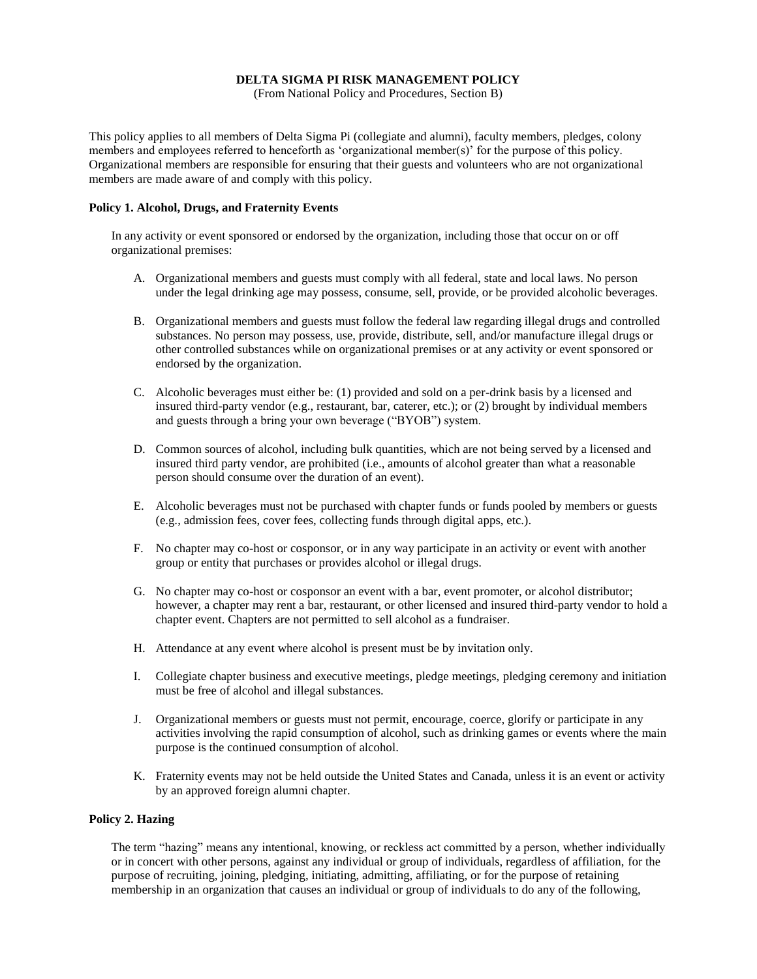# **DELTA SIGMA PI RISK MANAGEMENT POLICY**

(From National Policy and Procedures, Section B)

This policy applies to all members of Delta Sigma Pi (collegiate and alumni), faculty members, pledges, colony members and employees referred to henceforth as 'organizational member(s)' for the purpose of this policy. Organizational members are responsible for ensuring that their guests and volunteers who are not organizational members are made aware of and comply with this policy.

### **Policy 1. Alcohol, Drugs, and Fraternity Events**

In any activity or event sponsored or endorsed by the organization, including those that occur on or off organizational premises:

- A. Organizational members and guests must comply with all federal, state and local laws. No person under the legal drinking age may possess, consume, sell, provide, or be provided alcoholic beverages.
- B. Organizational members and guests must follow the federal law regarding illegal drugs and controlled substances. No person may possess, use, provide, distribute, sell, and/or manufacture illegal drugs or other controlled substances while on organizational premises or at any activity or event sponsored or endorsed by the organization.
- C. Alcoholic beverages must either be: (1) provided and sold on a per-drink basis by a licensed and insured third-party vendor (e.g., restaurant, bar, caterer, etc.); or (2) brought by individual members and guests through a bring your own beverage ("BYOB") system.
- D. Common sources of alcohol, including bulk quantities, which are not being served by a licensed and insured third party vendor, are prohibited (i.e., amounts of alcohol greater than what a reasonable person should consume over the duration of an event).
- E. Alcoholic beverages must not be purchased with chapter funds or funds pooled by members or guests (e.g., admission fees, cover fees, collecting funds through digital apps, etc.).
- F. No chapter may co-host or cosponsor, or in any way participate in an activity or event with another group or entity that purchases or provides alcohol or illegal drugs.
- G. No chapter may co-host or cosponsor an event with a bar, event promoter, or alcohol distributor; however, a chapter may rent a bar, restaurant, or other licensed and insured third-party vendor to hold a chapter event. Chapters are not permitted to sell alcohol as a fundraiser.
- H. Attendance at any event where alcohol is present must be by invitation only.
- I. Collegiate chapter business and executive meetings, pledge meetings, pledging ceremony and initiation must be free of alcohol and illegal substances.
- J. Organizational members or guests must not permit, encourage, coerce, glorify or participate in any activities involving the rapid consumption of alcohol, such as drinking games or events where the main purpose is the continued consumption of alcohol.
- K. Fraternity events may not be held outside the United States and Canada, unless it is an event or activity by an approved foreign alumni chapter.

### **Policy 2. Hazing**

The term "hazing" means any intentional, knowing, or reckless act committed by a person, whether individually or in concert with other persons, against any individual or group of individuals, regardless of affiliation, for the purpose of recruiting, joining, pledging, initiating, admitting, affiliating, or for the purpose of retaining membership in an organization that causes an individual or group of individuals to do any of the following,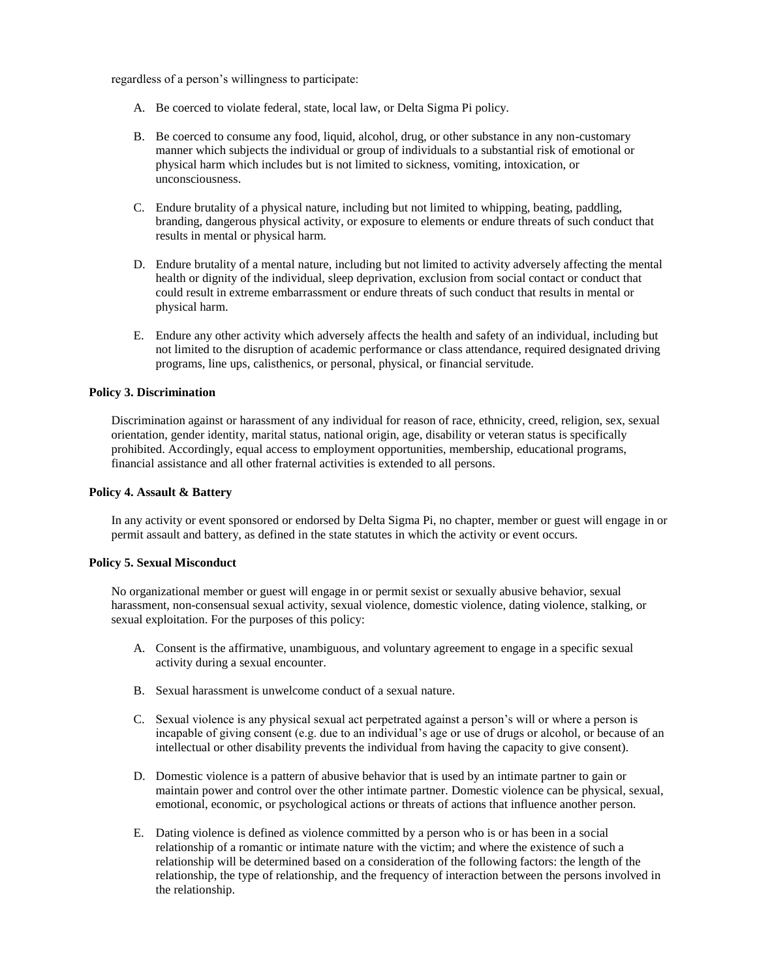regardless of a person's willingness to participate:

- A. Be coerced to violate federal, state, local law, or Delta Sigma Pi policy.
- B. Be coerced to consume any food, liquid, alcohol, drug, or other substance in any non-customary manner which subjects the individual or group of individuals to a substantial risk of emotional or physical harm which includes but is not limited to sickness, vomiting, intoxication, or unconsciousness.
- C. Endure brutality of a physical nature, including but not limited to whipping, beating, paddling, branding, dangerous physical activity, or exposure to elements or endure threats of such conduct that results in mental or physical harm.
- D. Endure brutality of a mental nature, including but not limited to activity adversely affecting the mental health or dignity of the individual, sleep deprivation, exclusion from social contact or conduct that could result in extreme embarrassment or endure threats of such conduct that results in mental or physical harm.
- E. Endure any other activity which adversely affects the health and safety of an individual, including but not limited to the disruption of academic performance or class attendance, required designated driving programs, line ups, calisthenics, or personal, physical, or financial servitude.

# **Policy 3. Discrimination**

Discrimination against or harassment of any individual for reason of race, ethnicity, creed, religion, sex, sexual orientation, gender identity, marital status, national origin, age, disability or veteran status is specifically prohibited. Accordingly, equal access to employment opportunities, membership, educational programs, financial assistance and all other fraternal activities is extended to all persons.

### **Policy 4. Assault & Battery**

In any activity or event sponsored or endorsed by Delta Sigma Pi, no chapter, member or guest will engage in or permit assault and battery, as defined in the state statutes in which the activity or event occurs.

# **Policy 5. Sexual Misconduct**

No organizational member or guest will engage in or permit sexist or sexually abusive behavior, sexual harassment, non-consensual sexual activity, sexual violence, domestic violence, dating violence, stalking, or sexual exploitation. For the purposes of this policy:

- A. Consent is the affirmative, unambiguous, and voluntary agreement to engage in a specific sexual activity during a sexual encounter.
- B. Sexual harassment is unwelcome conduct of a sexual nature.
- C. Sexual violence is any physical sexual act perpetrated against a person's will or where a person is incapable of giving consent (e.g. due to an individual's age or use of drugs or alcohol, or because of an intellectual or other disability prevents the individual from having the capacity to give consent).
- D. Domestic violence is a pattern of abusive behavior that is used by an intimate partner to gain or maintain power and control over the other intimate partner. Domestic violence can be physical, sexual, emotional, economic, or psychological actions or threats of actions that influence another person.
- E. Dating violence is defined as violence committed by a person who is or has been in a social relationship of a romantic or intimate nature with the victim; and where the existence of such a relationship will be determined based on a consideration of the following factors: the length of the relationship, the type of relationship, and the frequency of interaction between the persons involved in the relationship.